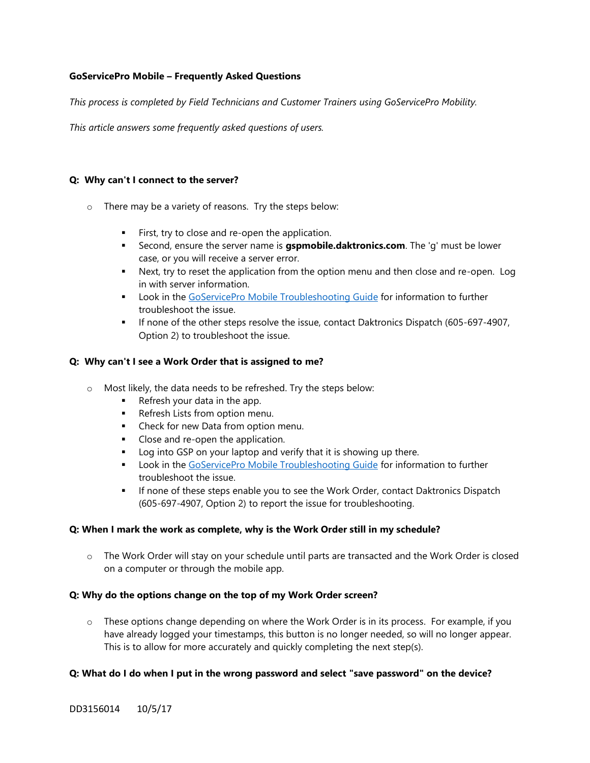# **GoServicePro Mobile – Frequently Asked Questions**

*This process is completed by Field Technicians and Customer Trainers using GoServicePro Mobility.*

*This article answers some frequently asked questions of users.* 

#### **Q: Why can't I connect to the server?**

- o There may be a variety of reasons. Try the steps below:
	- **EXECT:** First, try to close and re-open the application.
	- **EXECOM**, ensure the server name is **gspmobile.daktronics.com**. The 'g' must be lower case, or you will receive a server error.
	- **•** Next, try to reset the application from the option menu and then close and re-open. Log in with server information.
	- **EXEC** Look in the [GoServicePro Mobile Troubleshooting Guide](http://www.daktronics.com/FieldServicePortalDocuments/GoServicePro%20Mobile%20-%20Troubleshoot%20Guide.pdf) for information to further troubleshoot the issue.
	- **■** If none of the other steps resolve the issue, contact Daktronics Dispatch (605-697-4907, Option 2) to troubleshoot the issue.

## **Q: Why can't I see a Work Order that is assigned to me?**

- o Most likely, the data needs to be refreshed. Try the steps below:
	- Refresh your data in the app.
	- Refresh Lists from option menu.
	- Check for new Data from option menu.
	- Close and re-open the application.
	- Log into GSP on your laptop and verify that it is showing up there.
	- **Look in the [GoServicePro Mobile Troubleshooting Guide](http://www.daktronics.com/FieldServicePortalDocuments/GoServicePro%20Mobile%20-%20Troubleshoot%20Guide.pdf) for information to further** troubleshoot the issue.
	- **■** If none of these steps enable you to see the Work Order, contact Daktronics Dispatch (605-697-4907, Option 2) to report the issue for troubleshooting.

#### **Q: When I mark the work as complete, why is the Work Order still in my schedule?**

o The Work Order will stay on your schedule until parts are transacted and the Work Order is closed on a computer or through the mobile app.

#### **Q: Why do the options change on the top of my Work Order screen?**

 $\circ$  These options change depending on where the Work Order is in its process. For example, if you have already logged your timestamps, this button is no longer needed, so will no longer appear. This is to allow for more accurately and quickly completing the next step(s).

#### **Q: What do I do when I put in the wrong password and select "save password" on the device?**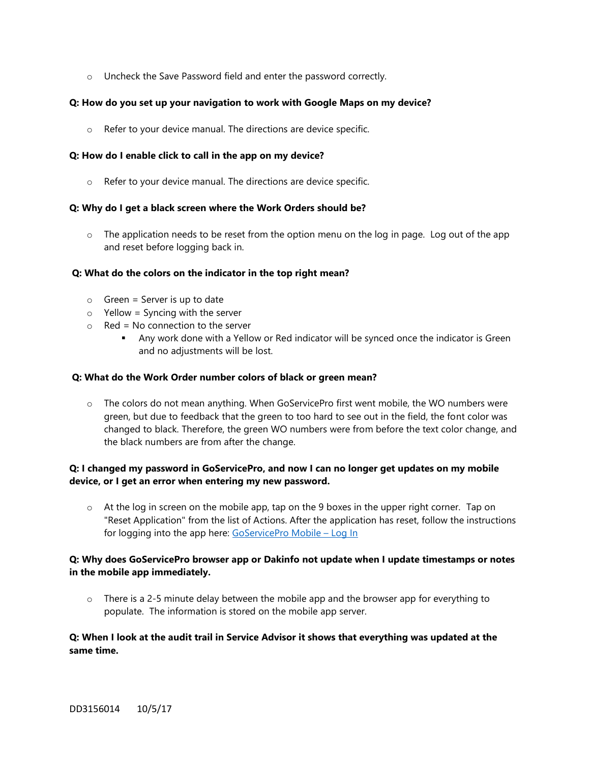o Uncheck the Save Password field and enter the password correctly.

## **Q: How do you set up your navigation to work with Google Maps on my device?**

o Refer to your device manual. The directions are device specific.

## **Q: How do I enable click to call in the app on my device?**

o Refer to your device manual. The directions are device specific.

## **Q: Why do I get a black screen where the Work Orders should be?**

 $\circ$  The application needs to be reset from the option menu on the log in page. Log out of the app and reset before logging back in.

## **Q: What do the colors on the indicator in the top right mean?**

- $\circ$  Green = Server is up to date
- $\circ$  Yellow = Syncing with the server
- $\circ$  Red = No connection to the server
	- **■** Any work done with a Yellow or Red indicator will be synced once the indicator is Green and no adjustments will be lost.

#### **Q: What do the Work Order number colors of black or green mean?**

 $\circ$  The colors do not mean anything. When GoServicePro first went mobile, the WO numbers were green, but due to feedback that the green to too hard to see out in the field, the font color was changed to black. Therefore, the green WO numbers were from before the text color change, and the black numbers are from after the change.

# **Q: I changed my password in GoServicePro, and now I can no longer get updates on my mobile device, or I get an error when entering my new password.**

o At the log in screen on the mobile app, tap on the 9 boxes in the upper right corner. Tap on "Reset Application" from the list of Actions. After the application has reset, follow the instructions for logging into the app here: [GoServicePro Mobile](http://www.daktronics.com/FieldServicePortalDocuments/GoServicePro%20Mobile%20-%20Log%20In.pdf) – Log In

# **Q: Why does GoServicePro browser app or Dakinfo not update when I update timestamps or notes in the mobile app immediately.**

 $\circ$  There is a 2-5 minute delay between the mobile app and the browser app for everything to populate. The information is stored on the mobile app server.

# **Q: When I look at the audit trail in Service Advisor it shows that everything was updated at the same time.**